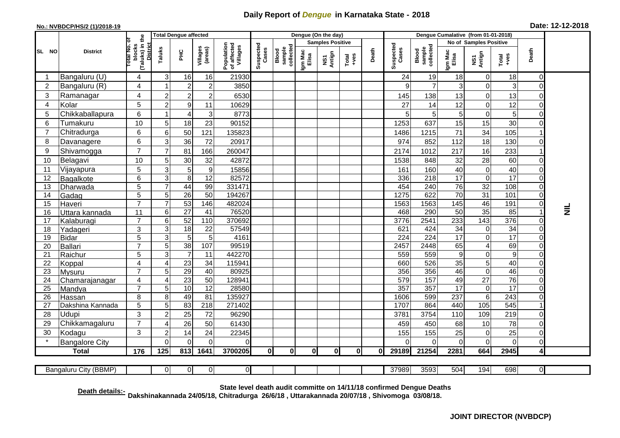## **Daily Report of** *Dengue* **in Karnataka State - 2018**

## **No.: NVBDCP/HS/2 (1)/2018-19 Date: 12-12-2018**

|                | <b>District</b>            |                                                      | <b>Total Dengue affected</b> |                         |                       |                                       |                    |                              |                         | Dengue (On the day) |               |       |                    |                              |                        |                         |                       |                               |           |
|----------------|----------------------------|------------------------------------------------------|------------------------------|-------------------------|-----------------------|---------------------------------------|--------------------|------------------------------|-------------------------|---------------------|---------------|-------|--------------------|------------------------------|------------------------|-------------------------|-----------------------|-------------------------------|-----------|
|                |                            |                                                      |                              |                         |                       |                                       |                    |                              | <b>Samples Positive</b> |                     |               |       |                    |                              | No of Samples Positive |                         |                       |                               |           |
| SL NO          |                            | (Taluks) in the<br>District<br>otal No. ol<br>blocks | Taluks                       | ЭHС                     | Villages<br>(areas)   | Population<br>of affected<br>Villages | Suspected<br>Cases | Blood<br>sample<br>collected | Igm Mac<br>Elisa        | NS1<br>Antign       | Total<br>+ves | Death | Suspected<br>Cases | collected<br>sample<br>Blood | Igm Mac<br>Elisa       | NS1<br>Antign           | Total<br>+ves         | Death                         |           |
|                | Bangaluru (U)              | 4                                                    | $\ensuremath{\mathsf{3}}$    | 16                      | 16                    | 21930                                 |                    |                              |                         |                     |               |       | 24                 | 19                           | 18                     | 0                       | 18                    | 0                             |           |
| $\overline{2}$ | Bangaluru (R)              | 4                                                    |                              | $\overline{c}$          | $\boldsymbol{2}$      | 3850                                  |                    |                              |                         |                     |               |       | 9                  | $\overline{7}$               | 3                      | 0                       | 3                     | $\mathbf 0$                   |           |
| 3              | Ramanagar                  | 4                                                    | $\overline{2}$               | $\overline{c}$          | $\boldsymbol{2}$      | 6530                                  |                    |                              |                         |                     |               |       | 145                | 138                          | 13                     | 0                       | 13                    | $\mathbf 0$                   |           |
| 4              | Kolar                      | 5                                                    | $\overline{c}$               | $\boldsymbol{9}$        | 11                    | 10629                                 |                    |                              |                         |                     |               |       | 27                 | 14                           | 12                     | 0                       | 12                    | $\mathbf 0$                   |           |
| 5              | Chikkaballapura            | 6                                                    | 1                            | $\overline{\mathbf{4}}$ | 3                     | 8773                                  |                    |                              |                         |                     |               |       | 5                  | 5                            | 5                      | 0                       | 5                     | $\mathbf 0$                   |           |
| 6              | Tumakuru                   | 10                                                   | 5                            | 18                      | 23                    | 90152                                 |                    |                              |                         |                     |               |       | 1253               | 637                          | 15                     | 15                      | 30                    | $\mathbf 0$                   |           |
| 7              | Chitradurga                | 6                                                    | 6                            | 50                      | 121                   | 135823                                |                    |                              |                         |                     |               |       | 1486               | 1215                         | 71                     | 34                      | 105                   |                               |           |
| 8              | Davanagere                 | 6                                                    | 3                            | 36                      | 72                    | 20917                                 |                    |                              |                         |                     |               |       | 974                | 852                          | 112                    | 18                      | 130                   | $\mathbf 0$                   |           |
| 9              | Shivamogga                 | $\overline{7}$                                       | $\overline{7}$               | 81                      | 166                   | 260047                                |                    |                              |                         |                     |               |       | 2174               | 1012                         | 217                    | 16                      | 233                   |                               |           |
| 10             | Belagavi                   | 10                                                   | $\sqrt{5}$                   | 30                      | 32                    | 42872                                 |                    |                              |                         |                     |               |       | 1538               | 848                          | 32                     | 28                      | 60                    | 0                             |           |
| 11             | Vijayapura                 | 5                                                    | 3                            | 5                       | $\boldsymbol{9}$      | 15856                                 |                    |                              |                         |                     |               |       | 161                | 160                          | 40                     | 0                       | 40                    | $\mathbf 0$                   |           |
| 12             | Bagalkote                  | 6                                                    | $\overline{3}$               | 8                       | $\overline{12}$       | 82572                                 |                    |                              |                         |                     |               |       | 336                | 218                          | 17                     | $\boldsymbol{0}$        | $\overline{17}$       | $\mathbf 0$                   |           |
| 13             | Dharwada                   | 5                                                    | $\overline{7}$               | 44                      | 99                    | 331471                                |                    |                              |                         |                     |               |       | 454                | 240                          | 76                     | 32                      | 108                   | $\mathbf 0$                   |           |
| 14             | Gadag                      | $\overline{5}$                                       | 5                            | $\overline{26}$         | 50                    | 194267                                |                    |                              |                         |                     |               |       | 1275               | 622                          | 70                     | 31                      | 101                   | $\overline{0}$                |           |
| 15             | Haveri                     | $\overline{7}$                                       | $\overline{7}$               | 53                      | 146                   | 482024                                |                    |                              |                         |                     |               |       | 1563               | 1563                         | 145                    | 46                      | 191                   | $\boldsymbol{0}$              |           |
| 16             | Uttara kannada             | 11                                                   | $\,6$                        | $\overline{27}$         | 41                    | 76520                                 |                    |                              |                         |                     |               |       | 468                | 290                          | 50                     | 35                      | 85                    | 1                             | $\bar{z}$ |
| 17             | Kalaburagi                 | $\overline{7}$                                       | $\,6$                        | 52                      | 110                   | 370692                                |                    |                              |                         |                     |               |       | 3776               | 2541                         | 233                    | $\overline{143}$        | 376                   | $\mathbf 0$                   |           |
| 18             | Yadageri                   | 3                                                    | $\ensuremath{\mathsf{3}}$    | 18                      | 22                    | 57549                                 |                    |                              |                         |                     |               |       | 621                | 424                          | 34                     | $\pmb{0}$               | 34                    | $\mathbf 0$                   |           |
| 19             | <b>Bidar</b>               | 5                                                    | $\overline{3}$               | $\overline{5}$          | $\overline{5}$        | 4161                                  |                    |                              |                         |                     |               |       | 224                | 224                          | $\overline{17}$        | $\boldsymbol{0}$        | 17                    | $\overline{0}$                |           |
| 20             | Ballari                    | $\overline{7}$                                       | $\overline{5}$               | 38                      | 107                   | 99519                                 |                    |                              |                         |                     |               |       | 2457               | 2448                         | 65                     | $\overline{\mathbf{4}}$ | 69                    | $\overline{0}$                |           |
| 21             | Raichur                    | $\overline{5}$                                       | $\overline{3}$               | $\overline{7}$          | 11                    | 442270                                |                    |                              |                         |                     |               |       | 559                | 559                          | $\overline{9}$         | 0                       | $\overline{9}$        | $\overline{0}$                |           |
| 22             | Koppal                     | 4                                                    | $\overline{4}$               | 23                      | 34                    | 115941                                |                    |                              |                         |                     |               |       | 660                | 526                          | 35                     | 5                       | $\overline{40}$       | $\mathbf 0$                   |           |
| 23             | Mysuru                     | $\overline{7}$                                       | 5                            | 29                      | 40                    | 80925                                 |                    |                              |                         |                     |               |       | 356                | 356                          | 46                     | 0                       | 46                    | $\mathbf 0$                   |           |
| 24             | Chamarajanagar             | 4<br>$\overline{7}$                                  | 4                            | 23<br>10                | 50<br>$\overline{12}$ | 128941                                |                    |                              |                         |                     |               |       | 579                | 157                          | 49<br>$\overline{17}$  | $\overline{27}$         | 76<br>$\overline{17}$ | $\overline{0}$                |           |
| 25             | Mandya                     |                                                      | $\sqrt{5}$<br>8              |                         | 81                    | 28580                                 |                    |                              |                         |                     |               |       | 357                | 357                          |                        | $\mathbf 0$             | 243                   | $\overline{0}$<br>$\mathbf 0$ |           |
| 26<br>27       | Hassan<br>Dakshina Kannada | 8<br>$\overline{5}$                                  | $\overline{5}$               | 49<br>83                | $\overline{218}$      | 135927<br>271402                      |                    |                              |                         |                     |               |       | 1606<br>1707       | 599<br>864                   | 237<br>440             | $\,6\,$<br>105          | 545                   |                               |           |
| 28             | Udupi                      | 3                                                    | $\overline{2}$               |                         | 72                    | 96290                                 |                    |                              |                         |                     |               |       |                    | 3754                         | 110                    | 109                     | 219                   | $\mathbf 0$                   |           |
| 29             |                            | $\overline{7}$                                       | 4                            | 25<br>26                | 50                    | 61430                                 |                    |                              |                         |                     |               |       | 3781<br>459        | 450                          | 68                     | 10                      | 78                    | $\overline{0}$                |           |
| 30             | Chikkamagaluru<br>Kodagu   | 3                                                    | $\overline{2}$               | 14                      | 24                    | 22345                                 |                    |                              |                         |                     |               |       | 155                | 155                          | 25                     | $\pmb{0}$               | 25                    | $\overline{0}$                |           |
|                | <b>Bangalore City</b>      |                                                      | $\overline{0}$               | $\mathbf 0$             | $\mathbf 0$           | $\Omega$                              |                    |                              |                         |                     |               |       | $\Omega$           | $\Omega$                     | $\Omega$               | $\mathbf 0$             | $\overline{0}$        | $\mathbf 0$                   |           |
|                | <b>Total</b>               | 176                                                  | 125                          | 813                     | 1641                  | 3700205                               | 0                  | 0                            | 0l                      | 0                   | 0l            | 0l    | 29189              | 21254                        | 2281                   | 664                     | 2945                  | 4                             |           |
|                |                            |                                                      |                              |                         |                       |                                       |                    |                              |                         |                     |               |       |                    |                              |                        |                         |                       |                               |           |
|                | Bangaluru City (BBMP)      |                                                      | $\Omega$                     | $\overline{0}$          | $\overline{0}$        | $\overline{0}$                        |                    |                              |                         |                     |               |       | 37989              | 3593                         | 504                    | 194                     | 698                   | $\overline{0}$                |           |

**Death details:- State level death audit committe on 14/11/18 confirmed Dengue Deaths Dakshinakannada 24/05/18, Chitradurga 26/6/18 , Uttarakannada 20/07/18 , Shivomoga 03/08/18.**